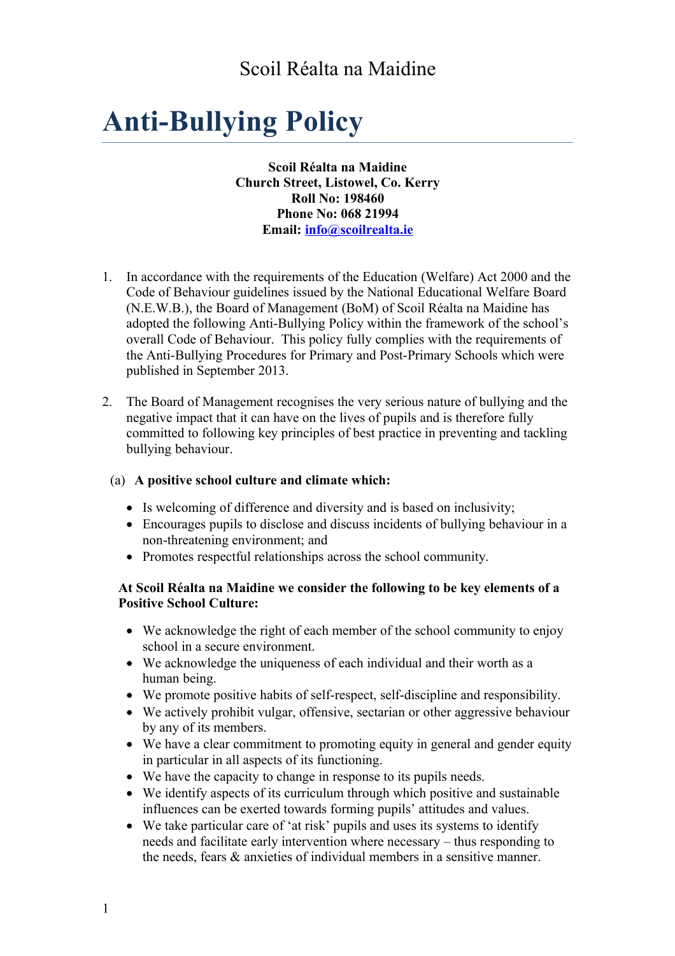# Scoil Réalta na Maidine

# **Anti-Bullying Policy**

**Scoil Réalta na Maidine Church Street, Listowel, Co. Kerry Roll No: 198460 Phone No: 068 21994 Email: [info@scoilrealta.ie](mailto:info@scoilrealta.ie)**

- 1. In accordance with the requirements of the Education (Welfare) Act 2000 and the Code of Behaviour guidelines issued by the National Educational Welfare Board (N.E.W.B.), the Board of Management (BoM) of Scoil Réalta na Maidine has adopted the following Anti-Bullying Policy within the framework of the school's overall Code of Behaviour. This policy fully complies with the requirements of the Anti-Bullying Procedures for Primary and Post-Primary Schools which were published in September 2013.
- 2. The Board of Management recognises the very serious nature of bullying and the negative impact that it can have on the lives of pupils and is therefore fully committed to following key principles of best practice in preventing and tackling bullying behaviour.

#### (a) **A positive school culture and climate which:**

- Is welcoming of difference and diversity and is based on inclusivity;
- Encourages pupils to disclose and discuss incidents of bullying behaviour in a non-threatening environment; and
- Promotes respectful relationships across the school community.

#### **At Scoil Réalta na Maidine we consider the following to be key elements of a Positive School Culture:**

- We acknowledge the right of each member of the school community to enjoy school in a secure environment.
- We acknowledge the uniqueness of each individual and their worth as a human being.
- We promote positive habits of self-respect, self-discipline and responsibility.
- We actively prohibit vulgar, offensive, sectarian or other aggressive behaviour by any of its members.
- We have a clear commitment to promoting equity in general and gender equity in particular in all aspects of its functioning.
- We have the capacity to change in response to its pupils needs.
- We identify aspects of its curriculum through which positive and sustainable influences can be exerted towards forming pupils' attitudes and values.
- We take particular care of 'at risk' pupils and uses its systems to identify needs and facilitate early intervention where necessary – thus responding to the needs, fears & anxieties of individual members in a sensitive manner.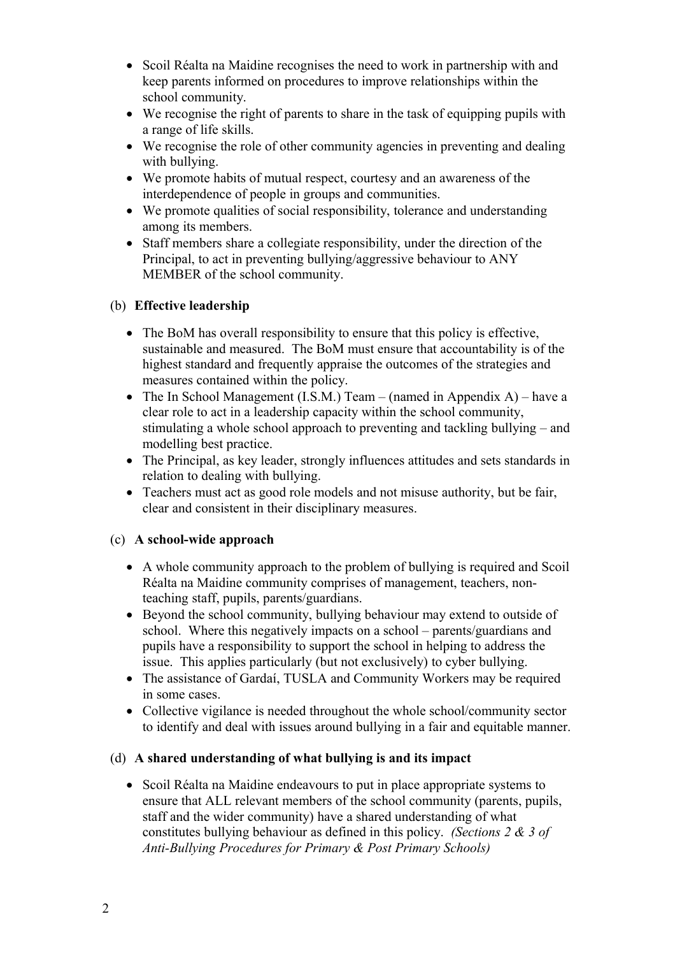- Scoil Réalta na Maidine recognises the need to work in partnership with and keep parents informed on procedures to improve relationships within the school community.
- We recognise the right of parents to share in the task of equipping pupils with a range of life skills.
- We recognise the role of other community agencies in preventing and dealing with bullying.
- We promote habits of mutual respect, courtesy and an awareness of the interdependence of people in groups and communities.
- We promote qualities of social responsibility, tolerance and understanding among its members.
- Staff members share a collegiate responsibility, under the direction of the Principal, to act in preventing bullying/aggressive behaviour to ANY MEMBER of the school community.

# (b) **Effective leadership**

- The BoM has overall responsibility to ensure that this policy is effective, sustainable and measured. The BoM must ensure that accountability is of the highest standard and frequently appraise the outcomes of the strategies and measures contained within the policy.
- The In School Management (I.S.M.) Team (named in Appendix A) have a clear role to act in a leadership capacity within the school community, stimulating a whole school approach to preventing and tackling bullying – and modelling best practice.
- The Principal, as key leader, strongly influences attitudes and sets standards in relation to dealing with bullying.
- Teachers must act as good role models and not misuse authority, but be fair, clear and consistent in their disciplinary measures.

#### (c) **A school-wide approach**

- A whole community approach to the problem of bullying is required and Scoil Réalta na Maidine community comprises of management, teachers, nonteaching staff, pupils, parents/guardians.
- Beyond the school community, bullying behaviour may extend to outside of school. Where this negatively impacts on a school – parents/guardians and pupils have a responsibility to support the school in helping to address the issue. This applies particularly (but not exclusively) to cyber bullying.
- The assistance of Gardaí, TUSLA and Community Workers may be required in some cases.
- Collective vigilance is needed throughout the whole school/community sector to identify and deal with issues around bullying in a fair and equitable manner.

# (d) **A shared understanding of what bullying is and its impact**

• Scoil Réalta na Maidine endeavours to put in place appropriate systems to ensure that ALL relevant members of the school community (parents, pupils, staff and the wider community) have a shared understanding of what constitutes bullying behaviour as defined in this policy. *(Sections 2 & 3 of Anti-Bullying Procedures for Primary & Post Primary Schools)*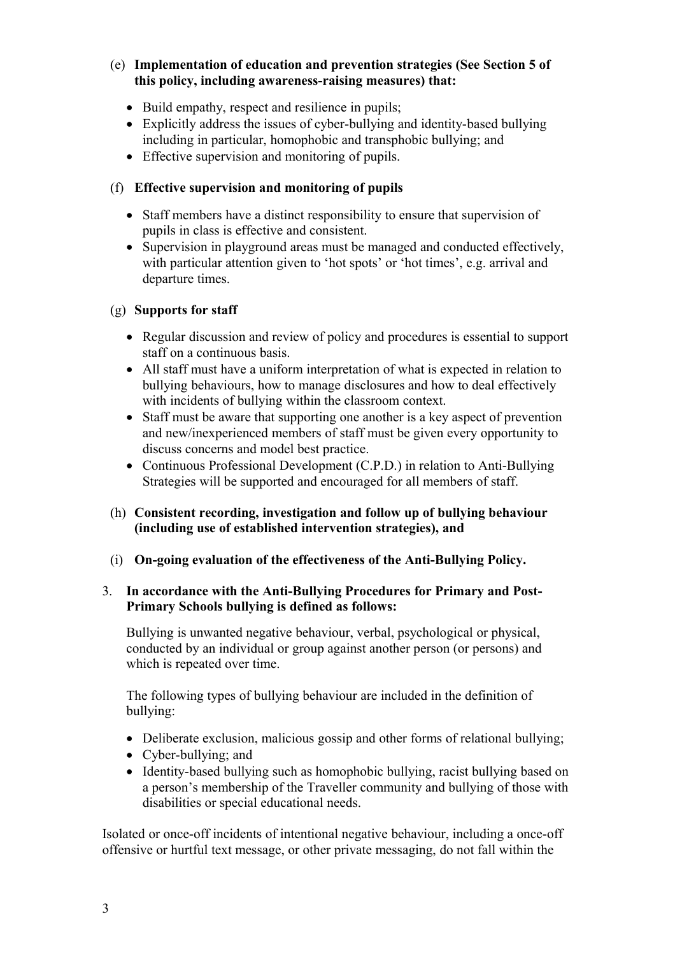#### (e) **Implementation of education and prevention strategies (See Section 5 of this policy, including awareness-raising measures) that:**

- Build empathy, respect and resilience in pupils;
- Explicitly address the issues of cyber-bullying and identity-based bullying including in particular, homophobic and transphobic bullying; and
- Effective supervision and monitoring of pupils.

# (f) **Effective supervision and monitoring of pupils**

- Staff members have a distinct responsibility to ensure that supervision of pupils in class is effective and consistent.
- Supervision in playground areas must be managed and conducted effectively, with particular attention given to 'hot spots' or 'hot times', e.g. arrival and departure times.

#### (g) **Supports for staff**

- Regular discussion and review of policy and procedures is essential to support staff on a continuous basis.
- All staff must have a uniform interpretation of what is expected in relation to bullying behaviours, how to manage disclosures and how to deal effectively with incidents of bullying within the classroom context.
- Staff must be aware that supporting one another is a key aspect of prevention and new/inexperienced members of staff must be given every opportunity to discuss concerns and model best practice.
- Continuous Professional Development (C.P.D.) in relation to Anti-Bullying Strategies will be supported and encouraged for all members of staff.
- (h) **Consistent recording, investigation and follow up of bullying behaviour (including use of established intervention strategies), and**
- (i) **On-going evaluation of the effectiveness of the Anti-Bullying Policy.**

#### 3. **In accordance with the Anti-Bullying Procedures for Primary and Post-Primary Schools bullying is defined as follows:**

Bullying is unwanted negative behaviour, verbal, psychological or physical, conducted by an individual or group against another person (or persons) and which is repeated over time.

The following types of bullying behaviour are included in the definition of bullying:

- Deliberate exclusion, malicious gossip and other forms of relational bullying;
- Cyber-bullying: and
- Identity-based bullying such as homophobic bullying, racist bullying based on a person's membership of the Traveller community and bullying of those with disabilities or special educational needs.

Isolated or once-off incidents of intentional negative behaviour, including a once-off offensive or hurtful text message, or other private messaging, do not fall within the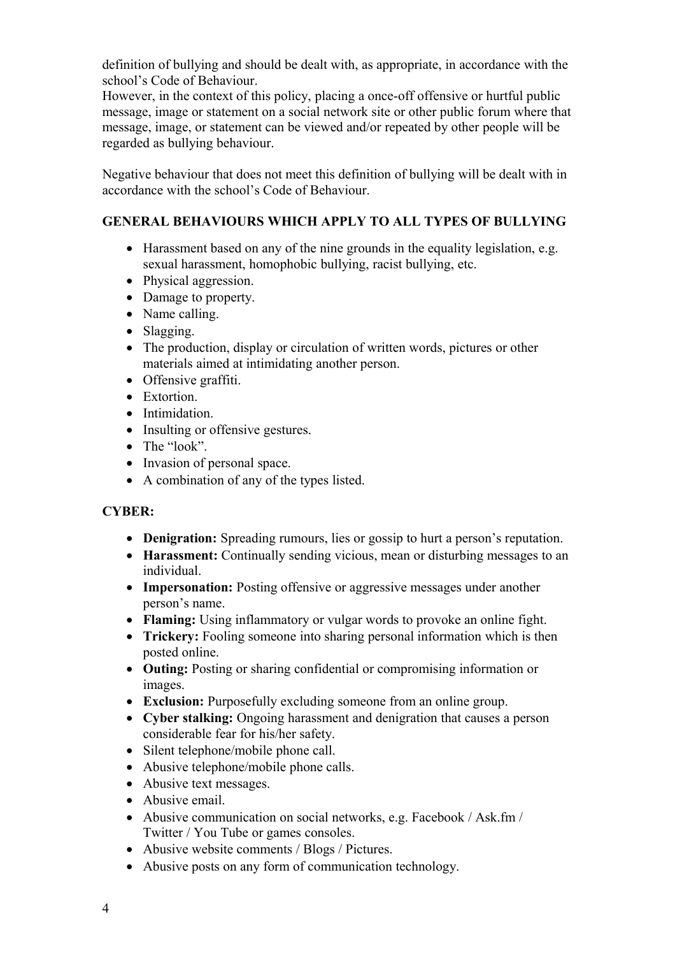definition of bullying and should be dealt with, as appropriate, in accordance with the school's Code of Behaviour.

However, in the context of this policy, placing a once-off offensive or hurtful public message, image or statement on a social network site or other public forum where that message, image, or statement can be viewed and/or repeated by other people will be regarded as bullying behaviour.

Negative behaviour that does not meet this definition of bullying will be dealt with in accordance with the school's Code of Behaviour.

# **GENERAL BEHAVIOURS WHICH APPLY TO ALL TYPES OF BULLYING**

- Harassment based on any of the nine grounds in the equality legislation, e.g. sexual harassment, homophobic bullying, racist bullying, etc.
- Physical aggression.
- Damage to property.
- Name calling.
- Slagging.
- The production, display or circulation of written words, pictures or other materials aimed at intimidating another person.
- Offensive graffiti.
- Extortion.
- Intimidation.
- Insulting or offensive gestures.
- The "look".
- Invasion of personal space.
- A combination of any of the types listed.

# **CYBER:**

- **Denigration:** Spreading rumours, lies or gossip to hurt a person's reputation.
- **Harassment:** Continually sending vicious, mean or disturbing messages to an individual.
- **Impersonation:** Posting offensive or aggressive messages under another person's name.
- **Flaming:** Using inflammatory or vulgar words to provoke an online fight.
- **Trickery:** Fooling someone into sharing personal information which is then posted online.
- **Outing:** Posting or sharing confidential or compromising information or images.
- **Exclusion:** Purposefully excluding someone from an online group.
- **Cyber stalking:** Ongoing harassment and denigration that causes a person considerable fear for his/her safety.
- Silent telephone/mobile phone call.
- Abusive telephone/mobile phone calls.
- Abusive text messages.
- Abusive email.
- Abusive communication on social networks, e.g. Facebook / Ask.fm / Twitter / You Tube or games consoles.
- Abusive website comments / Blogs / Pictures.
- Abusive posts on any form of communication technology.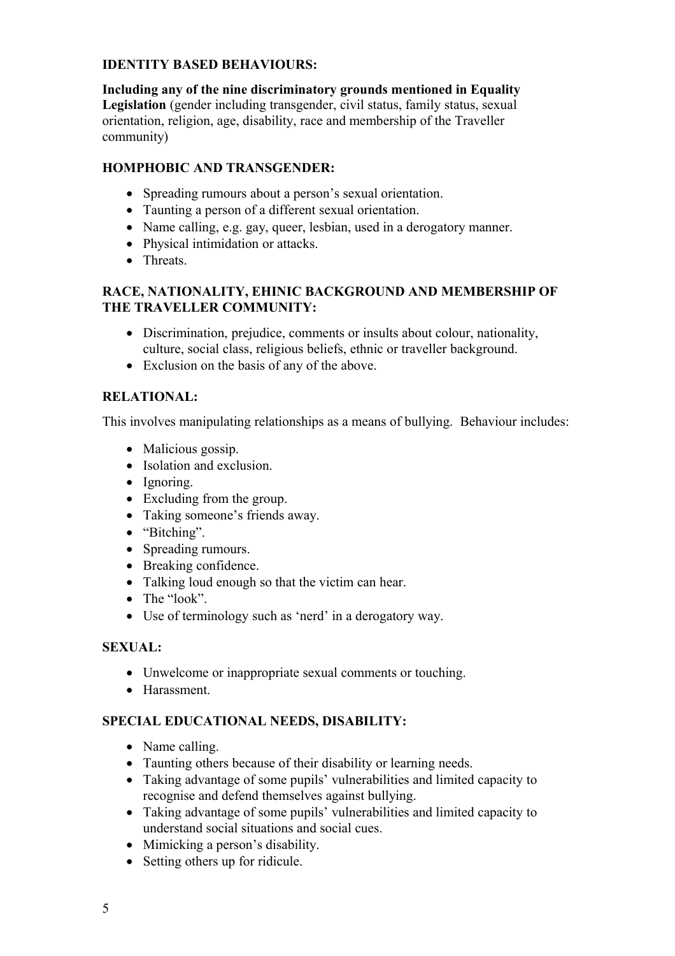#### **IDENTITY BASED BEHAVIOURS:**

**Including any of the nine discriminatory grounds mentioned in Equality Legislation** (gender including transgender, civil status, family status, sexual orientation, religion, age, disability, race and membership of the Traveller community)

# **HOMPHOBIC AND TRANSGENDER:**

- Spreading rumours about a person's sexual orientation.
- Taunting a person of a different sexual orientation.
- Name calling, e.g. gay, queer, lesbian, used in a derogatory manner.
- Physical intimidation or attacks.
- Threats.

#### **RACE, NATIONALITY, EHINIC BACKGROUND AND MEMBERSHIP OF THE TRAVELLER COMMUNITY:**

- Discrimination, prejudice, comments or insults about colour, nationality, culture, social class, religious beliefs, ethnic or traveller background.
- Exclusion on the basis of any of the above.

# **RELATIONAL:**

This involves manipulating relationships as a means of bullying. Behaviour includes:

- Malicious gossip.
- Isolation and exclusion.
- Ignoring.
- Excluding from the group.
- Taking someone's friends away.
- "Bitching".
- Spreading rumours.
- Breaking confidence.
- Talking loud enough so that the victim can hear.
- The "look".
- Use of terminology such as 'nerd' in a derogatory way.

#### **SEXUAL:**

- Unwelcome or inappropriate sexual comments or touching.
- Harassment

# **SPECIAL EDUCATIONAL NEEDS, DISABILITY:**

- Name calling.
- Taunting others because of their disability or learning needs.
- Taking advantage of some pupils' vulnerabilities and limited capacity to recognise and defend themselves against bullying.
- Taking advantage of some pupils' vulnerabilities and limited capacity to understand social situations and social cues.
- Mimicking a person's disability.
- Setting others up for ridicule.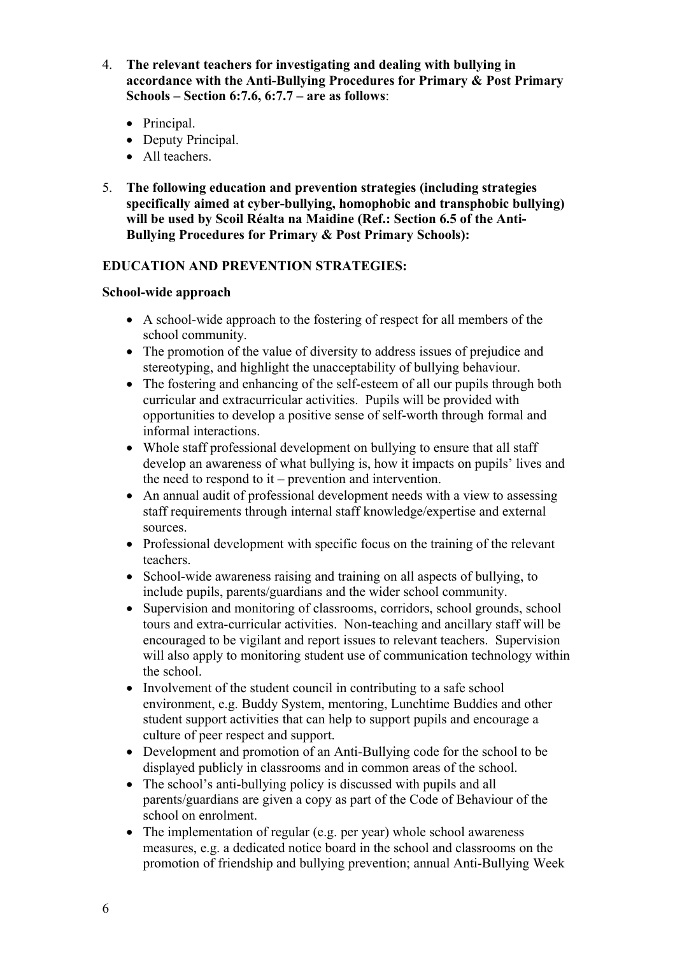- 4. **The relevant teachers for investigating and dealing with bullying in accordance with the Anti-Bullying Procedures for Primary & Post Primary Schools – Section 6:7.6, 6:7.7 – are as follows**:
	- Principal.
	- Deputy Principal.
	- All teachers.
- 5. **The following education and prevention strategies (including strategies specifically aimed at cyber-bullying, homophobic and transphobic bullying) will be used by Scoil Réalta na Maidine (Ref.: Section 6.5 of the Anti-Bullying Procedures for Primary & Post Primary Schools):**

#### **EDUCATION AND PREVENTION STRATEGIES:**

#### **School-wide approach**

- A school-wide approach to the fostering of respect for all members of the school community.
- The promotion of the value of diversity to address issues of prejudice and stereotyping, and highlight the unacceptability of bullying behaviour.
- The fostering and enhancing of the self-esteem of all our pupils through both curricular and extracurricular activities. Pupils will be provided with opportunities to develop a positive sense of self-worth through formal and informal interactions.
- Whole staff professional development on bullying to ensure that all staff develop an awareness of what bullying is, how it impacts on pupils' lives and the need to respond to it – prevention and intervention.
- An annual audit of professional development needs with a view to assessing staff requirements through internal staff knowledge/expertise and external sources.
- Professional development with specific focus on the training of the relevant teachers.
- School-wide awareness raising and training on all aspects of bullying, to include pupils, parents/guardians and the wider school community.
- Supervision and monitoring of classrooms, corridors, school grounds, school tours and extra-curricular activities. Non-teaching and ancillary staff will be encouraged to be vigilant and report issues to relevant teachers. Supervision will also apply to monitoring student use of communication technology within the school.
- Involvement of the student council in contributing to a safe school environment, e.g. Buddy System, mentoring, Lunchtime Buddies and other student support activities that can help to support pupils and encourage a culture of peer respect and support.
- Development and promotion of an Anti-Bullying code for the school to be displayed publicly in classrooms and in common areas of the school.
- The school's anti-bullying policy is discussed with pupils and all parents/guardians are given a copy as part of the Code of Behaviour of the school on enrolment.
- The implementation of regular (e.g. per year) whole school awareness measures, e.g. a dedicated notice board in the school and classrooms on the promotion of friendship and bullying prevention; annual Anti-Bullying Week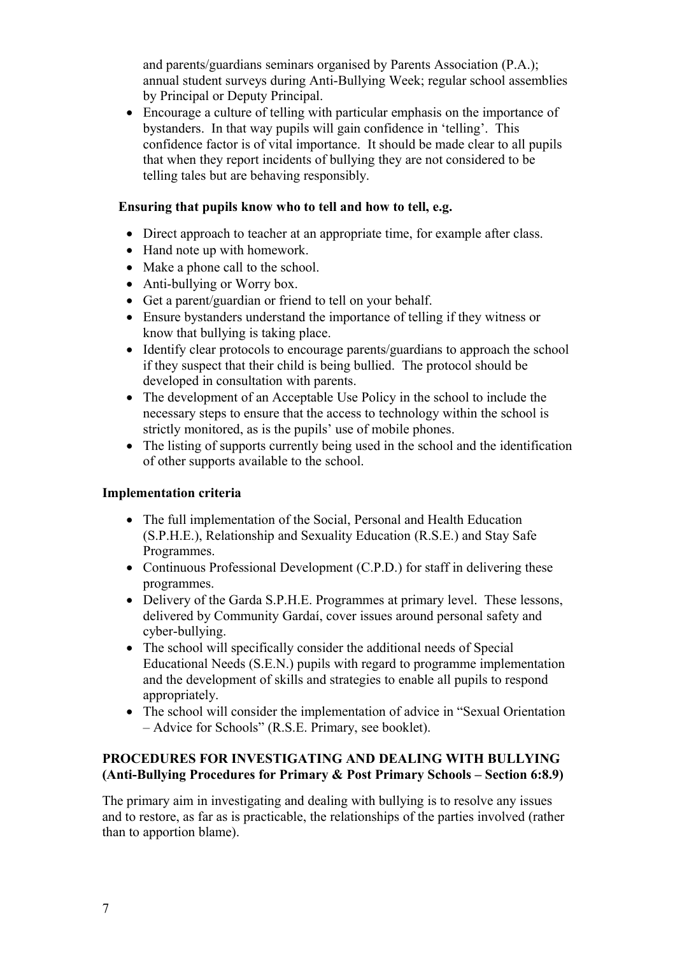and parents/guardians seminars organised by Parents Association (P.A.); annual student surveys during Anti-Bullying Week; regular school assemblies by Principal or Deputy Principal.

 Encourage a culture of telling with particular emphasis on the importance of bystanders. In that way pupils will gain confidence in 'telling'. This confidence factor is of vital importance. It should be made clear to all pupils that when they report incidents of bullying they are not considered to be telling tales but are behaving responsibly.

#### **Ensuring that pupils know who to tell and how to tell, e.g.**

- Direct approach to teacher at an appropriate time, for example after class.
- Hand note up with homework.
- Make a phone call to the school.
- Anti-bullying or Worry box.
- Get a parent/guardian or friend to tell on your behalf.
- Ensure bystanders understand the importance of telling if they witness or know that bullying is taking place.
- Identify clear protocols to encourage parents/guardians to approach the school if they suspect that their child is being bullied. The protocol should be developed in consultation with parents.
- The development of an Acceptable Use Policy in the school to include the necessary steps to ensure that the access to technology within the school is strictly monitored, as is the pupils' use of mobile phones.
- The listing of supports currently being used in the school and the identification of other supports available to the school.

#### **Implementation criteria**

- The full implementation of the Social, Personal and Health Education (S.P.H.E.), Relationship and Sexuality Education (R.S.E.) and Stay Safe Programmes.
- Continuous Professional Development (C.P.D.) for staff in delivering these programmes.
- Delivery of the Garda S.P.H.E. Programmes at primary level. These lessons, delivered by Community Gardaí, cover issues around personal safety and cyber-bullying.
- The school will specifically consider the additional needs of Special Educational Needs (S.E.N.) pupils with regard to programme implementation and the development of skills and strategies to enable all pupils to respond appropriately.
- The school will consider the implementation of advice in "Sexual Orientation – Advice for Schools" (R.S.E. Primary, see booklet).

#### **PROCEDURES FOR INVESTIGATING AND DEALING WITH BULLYING (Anti-Bullying Procedures for Primary & Post Primary Schools – Section 6:8.9)**

The primary aim in investigating and dealing with bullying is to resolve any issues and to restore, as far as is practicable, the relationships of the parties involved (rather than to apportion blame).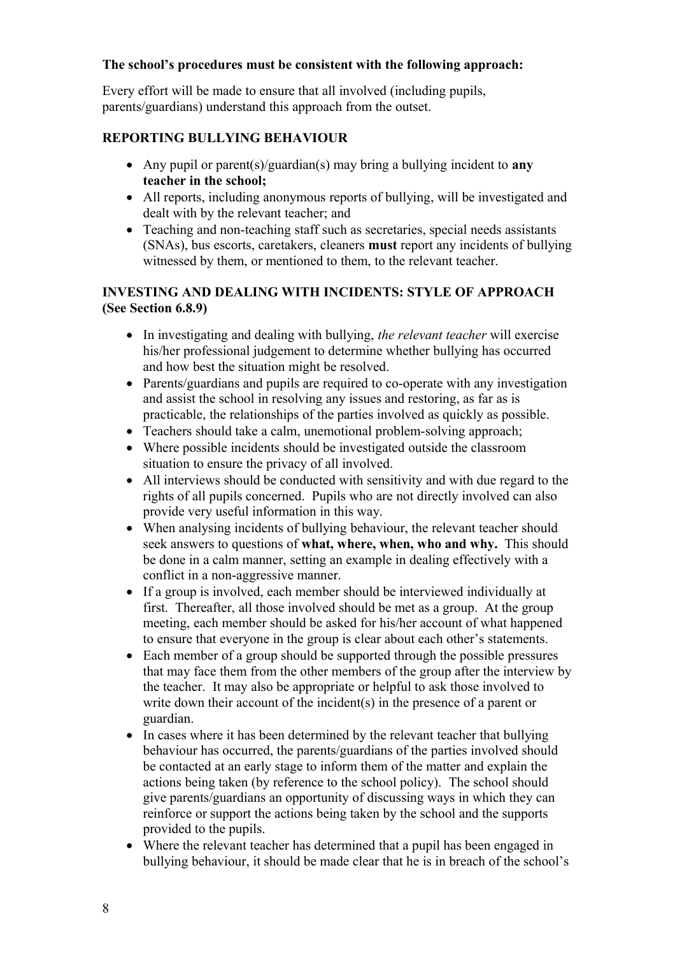#### **The school's procedures must be consistent with the following approach:**

Every effort will be made to ensure that all involved (including pupils, parents/guardians) understand this approach from the outset.

# **REPORTING BULLYING BEHAVIOUR**

- Any pupil or parent(s)/guardian(s) may bring a bullying incident to **any teacher in the school;**
- All reports, including anonymous reports of bullying, will be investigated and dealt with by the relevant teacher; and
- Teaching and non-teaching staff such as secretaries, special needs assistants (SNAs), bus escorts, caretakers, cleaners **must** report any incidents of bullying witnessed by them, or mentioned to them, to the relevant teacher.

#### **INVESTING AND DEALING WITH INCIDENTS: STYLE OF APPROACH (See Section 6.8.9)**

- In investigating and dealing with bullying, *the relevant teacher* will exercise his/her professional judgement to determine whether bullying has occurred and how best the situation might be resolved.
- Parents/guardians and pupils are required to co-operate with any investigation and assist the school in resolving any issues and restoring, as far as is practicable, the relationships of the parties involved as quickly as possible.
- Teachers should take a calm, unemotional problem-solving approach;
- Where possible incidents should be investigated outside the classroom situation to ensure the privacy of all involved.
- All interviews should be conducted with sensitivity and with due regard to the rights of all pupils concerned. Pupils who are not directly involved can also provide very useful information in this way.
- When analysing incidents of bullying behaviour, the relevant teacher should seek answers to questions of **what, where, when, who and why.** This should be done in a calm manner, setting an example in dealing effectively with a conflict in a non-aggressive manner.
- If a group is involved, each member should be interviewed individually at first. Thereafter, all those involved should be met as a group. At the group meeting, each member should be asked for his/her account of what happened to ensure that everyone in the group is clear about each other's statements.
- Each member of a group should be supported through the possible pressures that may face them from the other members of the group after the interview by the teacher. It may also be appropriate or helpful to ask those involved to write down their account of the incident(s) in the presence of a parent or guardian.
- In cases where it has been determined by the relevant teacher that bullying behaviour has occurred, the parents/guardians of the parties involved should be contacted at an early stage to inform them of the matter and explain the actions being taken (by reference to the school policy). The school should give parents/guardians an opportunity of discussing ways in which they can reinforce or support the actions being taken by the school and the supports provided to the pupils.
- Where the relevant teacher has determined that a pupil has been engaged in bullying behaviour, it should be made clear that he is in breach of the school's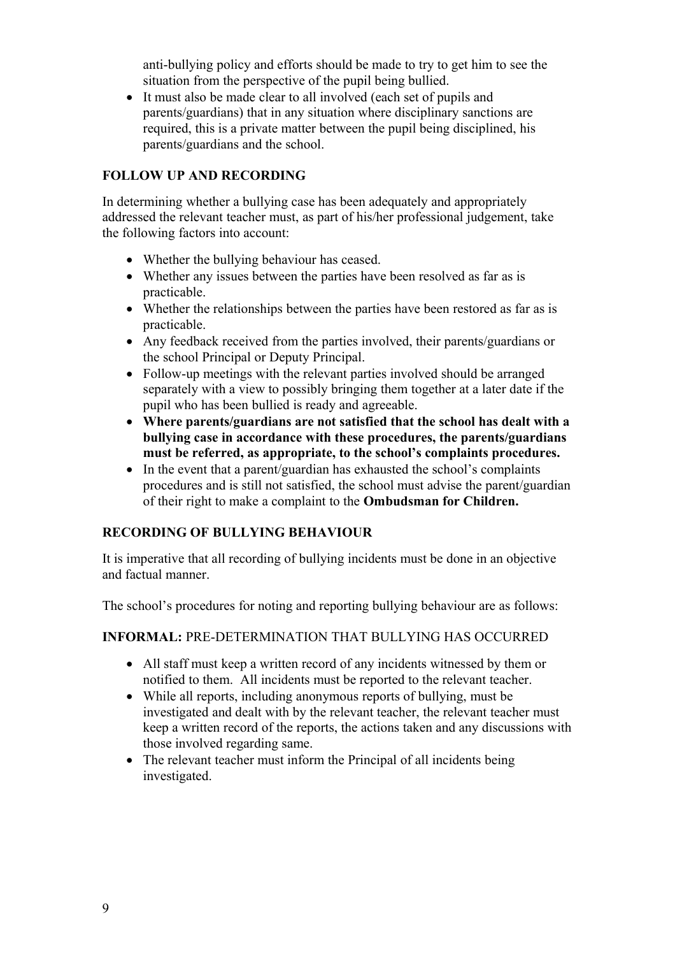anti-bullying policy and efforts should be made to try to get him to see the situation from the perspective of the pupil being bullied.

 It must also be made clear to all involved (each set of pupils and parents/guardians) that in any situation where disciplinary sanctions are required, this is a private matter between the pupil being disciplined, his parents/guardians and the school.

# **FOLLOW UP AND RECORDING**

In determining whether a bullying case has been adequately and appropriately addressed the relevant teacher must, as part of his/her professional judgement, take the following factors into account:

- Whether the bullying behaviour has ceased.
- Whether any issues between the parties have been resolved as far as is practicable.
- Whether the relationships between the parties have been restored as far as is practicable.
- Any feedback received from the parties involved, their parents/guardians or the school Principal or Deputy Principal.
- Follow-up meetings with the relevant parties involved should be arranged separately with a view to possibly bringing them together at a later date if the pupil who has been bullied is ready and agreeable.
- **Where parents/guardians are not satisfied that the school has dealt with a bullying case in accordance with these procedures, the parents/guardians must be referred, as appropriate, to the school's complaints procedures.**
- In the event that a parent/guardian has exhausted the school's complaints procedures and is still not satisfied, the school must advise the parent/guardian of their right to make a complaint to the **Ombudsman for Children.**

# **RECORDING OF BULLYING BEHAVIOUR**

It is imperative that all recording of bullying incidents must be done in an objective and factual manner.

The school's procedures for noting and reporting bullying behaviour are as follows:

#### **INFORMAL:** PRE-DETERMINATION THAT BULLYING HAS OCCURRED

- All staff must keep a written record of any incidents witnessed by them or notified to them. All incidents must be reported to the relevant teacher.
- While all reports, including anonymous reports of bullying, must be investigated and dealt with by the relevant teacher, the relevant teacher must keep a written record of the reports, the actions taken and any discussions with those involved regarding same.
- The relevant teacher must inform the Principal of all incidents being investigated.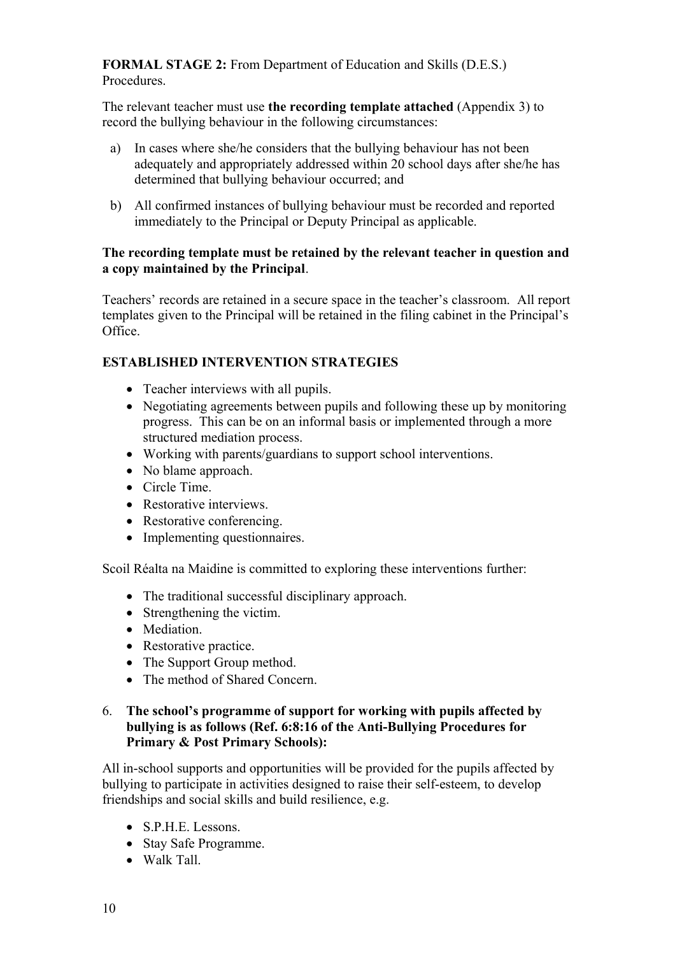**FORMAL STAGE 2:** From Department of Education and Skills (D.E.S.) Procedures.

The relevant teacher must use **the recording template attached** (Appendix 3) to record the bullying behaviour in the following circumstances:

- a) In cases where she/he considers that the bullying behaviour has not been adequately and appropriately addressed within 20 school days after she/he has determined that bullying behaviour occurred; and
- b) All confirmed instances of bullying behaviour must be recorded and reported immediately to the Principal or Deputy Principal as applicable.

#### **The recording template must be retained by the relevant teacher in question and a copy maintained by the Principal**.

Teachers' records are retained in a secure space in the teacher's classroom. All report templates given to the Principal will be retained in the filing cabinet in the Principal's Office.

# **ESTABLISHED INTERVENTION STRATEGIES**

- Teacher interviews with all pupils.
- Negotiating agreements between pupils and following these up by monitoring progress. This can be on an informal basis or implemented through a more structured mediation process.
- Working with parents/guardians to support school interventions.
- No blame approach.
- Circle Time.
- Restorative interviews.
- Restorative conferencing.
- Implementing questionnaires.

Scoil Réalta na Maidine is committed to exploring these interventions further:

- The traditional successful disciplinary approach.
- Strengthening the victim.
- Mediation.
- Restorative practice.
- The Support Group method.
- The method of Shared Concern.

#### 6. **The school's programme of support for working with pupils affected by bullying is as follows (Ref. 6:8:16 of the Anti-Bullying Procedures for Primary & Post Primary Schools):**

All in-school supports and opportunities will be provided for the pupils affected by bullying to participate in activities designed to raise their self-esteem, to develop friendships and social skills and build resilience, e.g.

- S.P.H.E. Lessons.
- Stay Safe Programme.
- Walk Tall.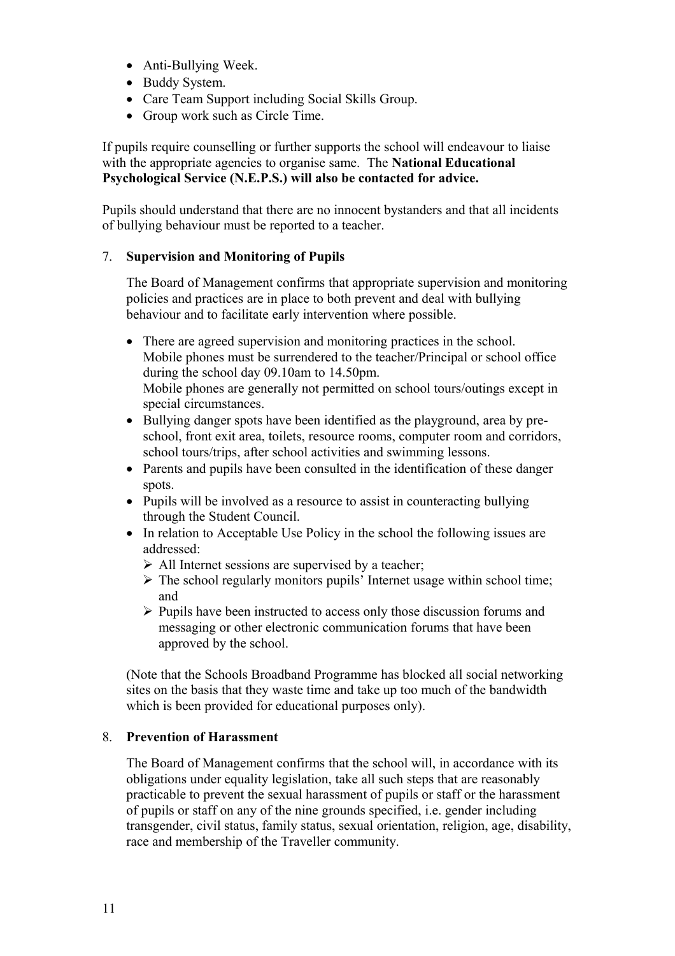- Anti-Bullying Week.
- Buddy System.
- Care Team Support including Social Skills Group.
- Group work such as Circle Time.

If pupils require counselling or further supports the school will endeavour to liaise with the appropriate agencies to organise same. The **National Educational Psychological Service (N.E.P.S.) will also be contacted for advice.**

Pupils should understand that there are no innocent bystanders and that all incidents of bullying behaviour must be reported to a teacher.

#### 7. **Supervision and Monitoring of Pupils**

The Board of Management confirms that appropriate supervision and monitoring policies and practices are in place to both prevent and deal with bullying behaviour and to facilitate early intervention where possible.

- There are agreed supervision and monitoring practices in the school. Mobile phones must be surrendered to the teacher/Principal or school office during the school day 09.10am to 14.50pm. Mobile phones are generally not permitted on school tours/outings except in special circumstances.
- Bullying danger spots have been identified as the playground, area by preschool, front exit area, toilets, resource rooms, computer room and corridors, school tours/trips, after school activities and swimming lessons.
- Parents and pupils have been consulted in the identification of these danger spots.
- Pupils will be involved as a resource to assist in counteracting bullying through the Student Council.
- In relation to Acceptable Use Policy in the school the following issues are addressed:
	- $\triangleright$  All Internet sessions are supervised by a teacher;
	- $\triangleright$  The school regularly monitors pupils' Internet usage within school time; and
	- $\triangleright$  Pupils have been instructed to access only those discussion forums and messaging or other electronic communication forums that have been approved by the school.

(Note that the Schools Broadband Programme has blocked all social networking sites on the basis that they waste time and take up too much of the bandwidth which is been provided for educational purposes only).

#### 8. **Prevention of Harassment**

The Board of Management confirms that the school will, in accordance with its obligations under equality legislation, take all such steps that are reasonably practicable to prevent the sexual harassment of pupils or staff or the harassment of pupils or staff on any of the nine grounds specified, i.e. gender including transgender, civil status, family status, sexual orientation, religion, age, disability, race and membership of the Traveller community.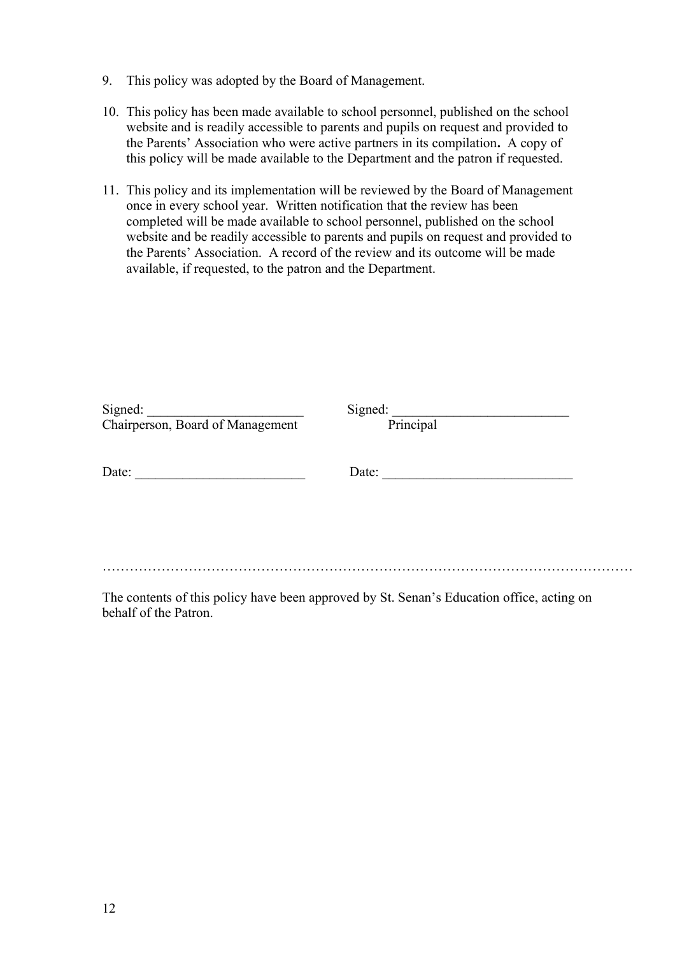- 9. This policy was adopted by the Board of Management.
- 10. This policy has been made available to school personnel, published on the school website and is readily accessible to parents and pupils on request and provided to the Parents' Association who were active partners in its compilation**.** A copy of this policy will be made available to the Department and the patron if requested.
- 11. This policy and its implementation will be reviewed by the Board of Management once in every school year. Written notification that the review has been completed will be made available to school personnel, published on the school website and be readily accessible to parents and pupils on request and provided to the Parents' Association. A record of the review and its outcome will be made available, if requested, to the patron and the Department.

| Signed:<br>Chairperson, Board of Management | Signed:<br>Principal |  |
|---------------------------------------------|----------------------|--|
| Date:                                       | Date:                |  |
|                                             |                      |  |
|                                             |                      |  |

The contents of this policy have been approved by St. Senan's Education office, acting on behalf of the Patron.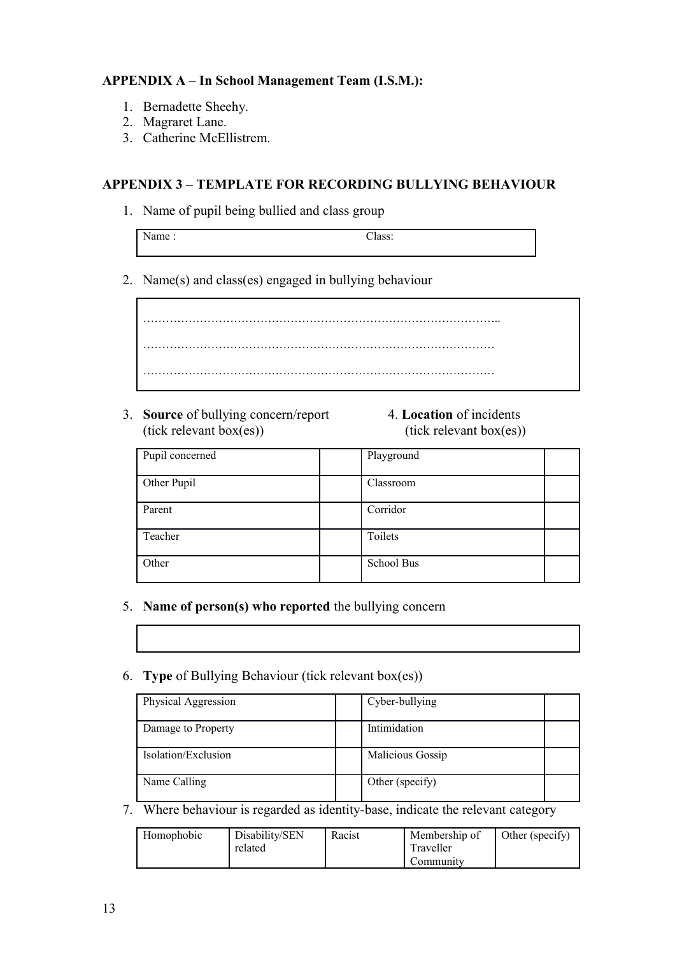#### **APPENDIX A – In School Management Team (I.S.M.):**

- 1. Bernadette Sheehy.
- 2. Magraret Lane.
- 3. Catherine McEllistrem.

#### **APPENDIX 3 – TEMPLATE FOR RECORDING BULLYING BEHAVIOUR**

1. Name of pupil being bullied and class group

| - - - -<br>ีนวง |  |
|-----------------|--|
|                 |  |

2. Name(s) and class(es) engaged in bullying behaviour

………………………………………………………………………………….. ………………………………………………………………………………… …………………………………………………………………………………

- 3. **Source** of bullying concern/report 4. **Location** of incidents  $(tick$  relevant box $(es))$  (tick relevant box $(es))$
- 

| Pupil concerned | Playground |  |
|-----------------|------------|--|
| Other Pupil     | Classroom  |  |
| Parent          | Corridor   |  |
| Teacher         | Toilets    |  |
| Other           | School Bus |  |

- 5. **Name of person(s) who reported** the bullying concern
- 6. **Type** of Bullying Behaviour (tick relevant box(es))

| Physical Aggression | Cyber-bullying   |
|---------------------|------------------|
| Damage to Property  | Intimidation     |
| Isolation/Exclusion | Malicious Gossip |
| Name Calling        | Other (specify)  |

7. Where behaviour is regarded as identity-base, indicate the relevant category

| Homophobic | Disability/SEN<br>related | Racist | Membership of<br>Traveller<br>Community | Other (specify) |
|------------|---------------------------|--------|-----------------------------------------|-----------------|
|------------|---------------------------|--------|-----------------------------------------|-----------------|